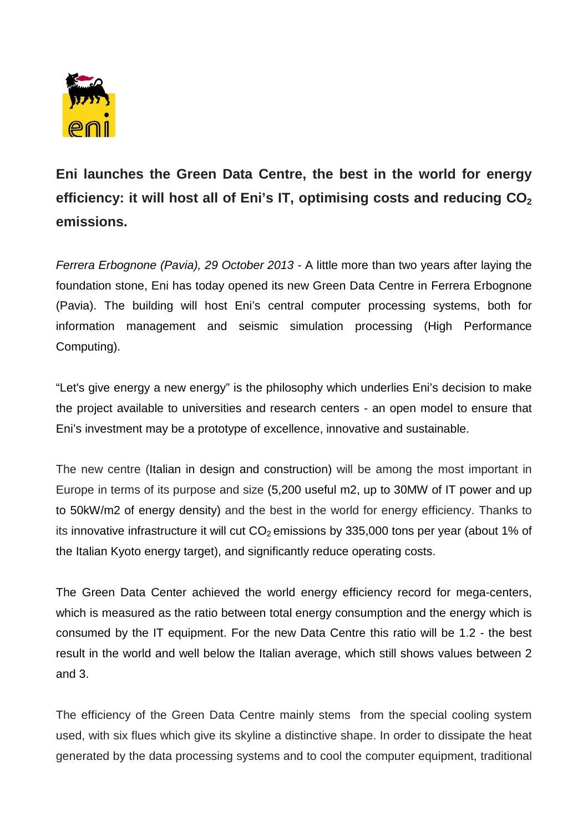

**Eni launches the Green Data Centre, the best in the world for energy**  efficiency: it will host all of Eni's IT, optimising costs and reducing  $CO<sub>2</sub>$ **emissions.**

*Ferrera Erbognone (Pavia), 29 October 2013 -* A little more than two years after laying the foundation stone, Eni has today opened its new Green Data Centre in Ferrera Erbognone (Pavia). The building will host Eni's central computer processing systems, both for information management and seismic simulation processing (High Performance Computing).

"Let's give energy a new energy" is the philosophy which underlies Eni's decision to make the project available to universities and research centers - an open model to ensure that Eni's investment may be a prototype of excellence, innovative and sustainable.

The new centre (Italian in design and construction) will be among the most important in Europe in terms of its purpose and size (5,200 useful m2, up to 30MW of IT power and up to 50kW/m2 of energy density) and the best in the world for energy efficiency. Thanks to its innovative infrastructure it will cut  $CO<sub>2</sub>$  emissions by 335,000 tons per year (about 1% of the Italian Kyoto energy target), and significantly reduce operating costs.

The Green Data Center achieved the world energy efficiency record for mega-centers, which is measured as the ratio between total energy consumption and the energy which is consumed by the IT equipment. For the new Data Centre this ratio will be 1.2 - the best result in the world and well below the Italian average, which still shows values between 2 and 3.

The efficiency of the Green Data Centre mainly stems from the special cooling system used, with six flues which give its skyline a distinctive shape. In order to dissipate the heat generated by the data processing systems and to cool the computer equipment, traditional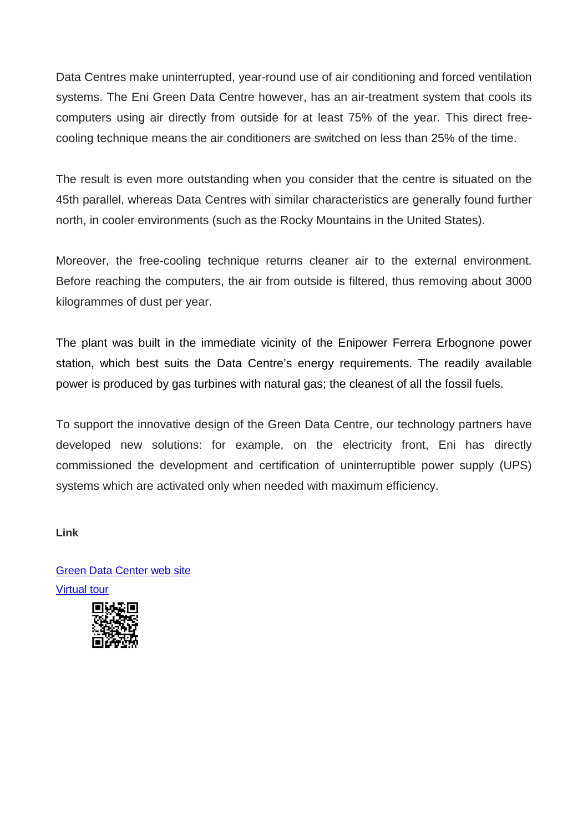Data Centres make uninterrupted, year-round use of air conditioning and forced ventilation systems. The Eni Green Data Centre however, has an air-treatment system that cools its computers using air directly from outside for at least 75% of the year. This direct freecooling technique means the air conditioners are switched on less than 25% of the time.

The result is even more outstanding when you consider that the centre is situated on the 45th parallel, whereas Data Centres with similar characteristics are generally found further north, in cooler environments (such as the Rocky Mountains in the United States).

Moreover, the free-cooling technique returns cleaner air to the external environment. Before reaching the computers, the air from outside is filtered, thus removing about 3000 kilogrammes of dust per year.

The plant was built in the immediate vicinity of the Enipower Ferrera Erbognone power station, which best suits the Data Centre's energy requirements. The readily available power is produced by gas turbines with natural gas; the cleanest of all the fossil fuels.

To support the innovative design of the Green Data Centre, our technology partners have developed new solutions: for example, on the electricity front, Eni has directly commissioned the development and certification of uninterruptible power supply (UPS) systems which are activated only when needed with maximum efficiency.

## **Link**

[Green Data Center web site](http://www.eni.com/green-data-center/) [Virtual tour](http://greendatacenter-virtualtour.eni.com/)